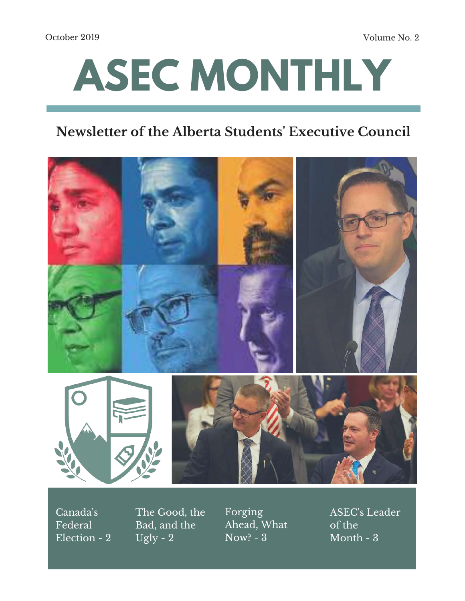October 2019 Volume No. 2

# **ASEC MONTHLY**

## **Newsletter of the Alberta Students ' Executive Council**



Canada's Federal Election - 2 The Good, the Bad, and the Ugly -  $2$ 

Forging Ahead, What Now? - 3

ASEC's Leader of the Month - 3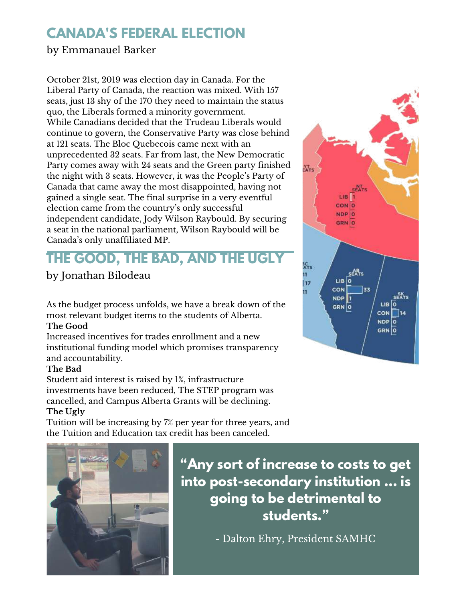## **CANADA'S FEDERAL ELECTION**

### by Emmanauel Barker

October 21st, 2019 was election day in Canada. For the Liberal Party of Canada, the reaction was mixed. With 157 seats, just 13 shy of the 170 they need to maintain the status quo, the Liberals formed a minority government. While Canadians decided that the Trudeau Liberals would continue to govern, the Conservative Party was close behind at 121 seats. The Bloc Quebecois came next with an unprecedented 32 seats. Far from last, the New Democratic Party comes away with 24 seats and the Green party finished the night with 3 seats. However, it was the People's Party of Canada that came away the most disappointed, having not gained a single seat. The final surprise in a very eventful election came from the country's only successful independent candidate, Jody Wilson Raybould. By securing a seat in the national parliament, Wilson Raybould will be Canada's only unaffiliated MP.

## **THE GOOD, THE BAD, AND THE UGLY**

## by Jonathan Bilodeau

As the budget process unfolds, we have a break down of the most relevant budget items to the students of Alberta.

#### **The Good**

Increased incentives for trades enrollment and a new institutional funding model which promises transparency and accountability.

#### **The Bad**

Student aid interest is raised by 1%, infrastructure investments have been reduced, The STEP program was cancelled, and Campus Alberta Grants will be declining. **The Ugly**

Tuition will be increasing by 7% per year for three years, and the Tuition and Education tax credit has been canceled.



**"Any sort of increase to costs to get into post-secondary institution ... is going to be detrimental to students."**

- Dalton Ehry, President SAMHC